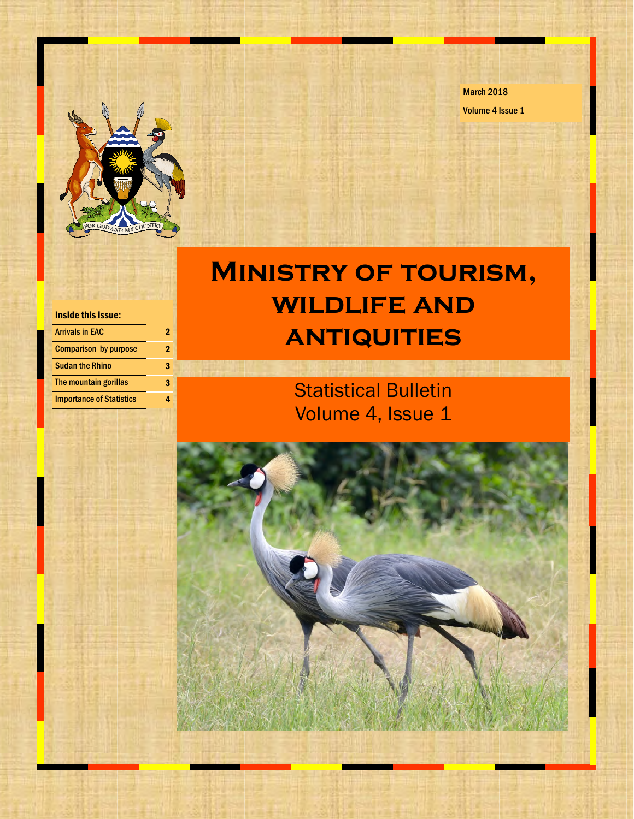

Inside this issue:

Arrivals in EAC 2 Comparison by purpose 2 Sudan the Rhino 3 The mountain gorillas 3 **Importance of Statistics** 4

Volume 4 Issue 1 March 2018

# **Ministry of tourism, wildlife and antiquities**

Statistical Bulletin Volume 4, Issue 1

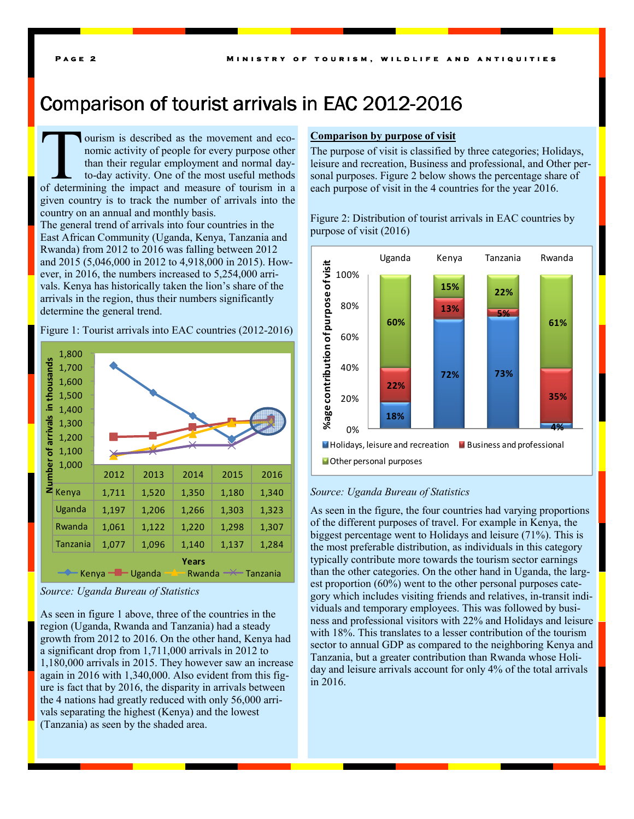## Comparison of tourist arrivals in EAC 2012-2016

Fourism is described as the movement and eco-<br>nomic activity of people for every purpose other<br>than their regular employment and normal day-<br>to-day activity. One of the most useful methods<br>of determining the impact and mea nomic activity of people for every purpose other than their regular employment and normal dayto-day activity. One of the most useful methods given country is to track the number of arrivals into the country on an annual and monthly basis.

The general trend of arrivals into four countries in the East African Community (Uganda, Kenya, Tanzania and Rwanda) from 2012 to 2016 was falling between 2012 and 2015 (5,046,000 in 2012 to 4,918,000 in 2015). However, in 2016, the numbers increased to 5,254,000 arrivals. Kenya has historically taken the lion's share of the arrivals in the region, thus their numbers significantly determine the general trend.

Figure 1: Tourist arrivals into EAC countries (2012-2016)





As seen in figure 1 above, three of the countries in the region (Uganda, Rwanda and Tanzania) had a steady growth from 2012 to 2016. On the other hand, Kenya had a significant drop from 1,711,000 arrivals in 2012 to 1,180,000 arrivals in 2015. They however saw an increase again in 2016 with 1,340,000. Also evident from this figure is fact that by 2016, the disparity in arrivals between the 4 nations had greatly reduced with only 56,000 arrivals separating the highest (Kenya) and the lowest (Tanzania) as seen by the shaded area.

### **Comparison by purpose of visit**

The purpose of visit is classified by three categories; Holidays, leisure and recreation, Business and professional, and Other personal purposes. Figure 2 below shows the percentage share of each purpose of visit in the 4 countries for the year 2016.

Figure 2: Distribution of tourist arrivals in EAC countries by purpose of visit (2016)



#### *Source: Uganda Bureau of Statistics*

As seen in the figure, the four countries had varying proportions of the different purposes of travel. For example in Kenya, the biggest percentage went to Holidays and leisure (71%). This is the most preferable distribution, as individuals in this category typically contribute more towards the tourism sector earnings than the other categories. On the other hand in Uganda, the largest proportion (60%) went to the other personal purposes category which includes visiting friends and relatives, in-transit individuals and temporary employees. This was followed by business and professional visitors with 22% and Holidays and leisure with 18%. This translates to a lesser contribution of the tourism sector to annual GDP as compared to the neighboring Kenya and Tanzania, but a greater contribution than Rwanda whose Holiday and leisure arrivals account for only 4% of the total arrivals in 2016.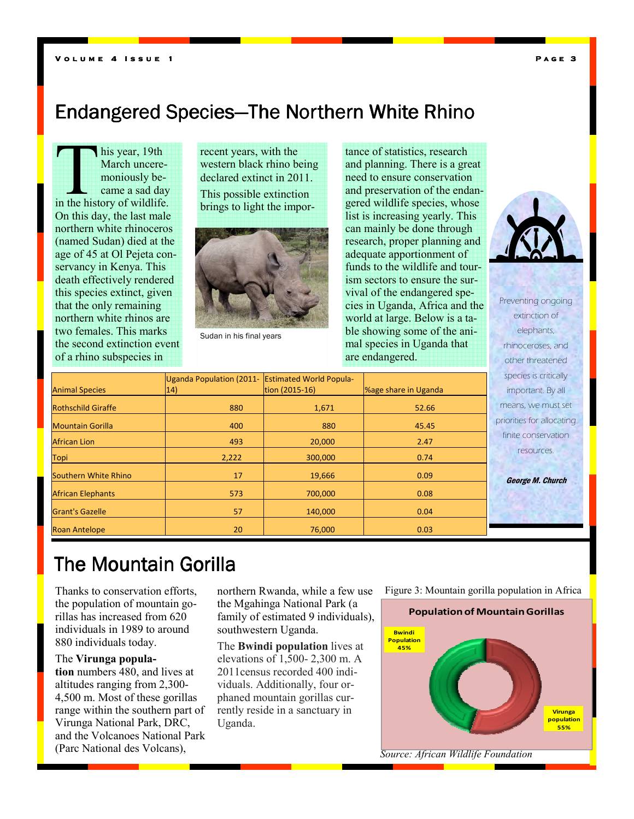#### **V O L U M E 4 ISSUE 1**

### Endangered Species—The Northern White Rhino

This year, 19th<br>
March uncere-<br>
moniously be-<br>
came a sad day<br>
in the history of wildlife. March unceremoniously became a sad day On this day, the last male northern white rhinoceros (named Sudan) died at the age of 45 at Ol Pejeta conservancy in Kenya. This death effectively rendered this species extinct, given that the only remaining northern white rhinos are two females. This marks the second extinction event of a rhino subspecies in

recent years, with the western black rhino being declared extinct in 2011. This possible extinction brings to light the impor-



Sudan in his final years

tance of statistics, research and planning. There is a great need to ensure conservation and preservation of the endangered wildlife species, whose list is increasing yearly. This can mainly be done through research, proper planning and adequate apportionment of funds to the wildlife and tourism sectors to ensure the survival of the endangered species in Uganda, Africa and the world at large. Below is a table showing some of the animal species in Uganda that are endangered.



Preventing ongoing extinction of elephants, rhinoceroses, and other threatened species is critically important. By all means, we must set priorities for allocating finite conservation resources.

George M. Church

|                           | Uganda Population (2011- Estimated World Popula- |                |                                     |
|---------------------------|--------------------------------------------------|----------------|-------------------------------------|
| <b>Animal Species</b>     | $ 14\rangle$                                     | tion (2015-16) | <b><i>Yoage share in Uganda</i></b> |
| <b>Rothschild Giraffe</b> | 880                                              | 1,671          | 52.66                               |
| <b>Mountain Gorilla</b>   | 400                                              | 880            | 45.45                               |
| African Lion              | 493                                              | 20,000         | 2.47                                |
| Topi                      | 2,222                                            | 300,000        | 0.74                                |
| Southern White Rhino      | 17                                               | 19,666         | 0.09                                |
| <b>African Elephants</b>  | 573                                              | 700,000        | 0.08                                |
| <b>Grant's Gazelle</b>    | 57                                               | 140,000        | 0.04                                |
| <b>Roan Antelope</b>      | 20                                               | 76,000         | 0.03                                |

### **The Mountain Gorilla**

Thanks to conservation efforts, the population of mountain gorillas has increased from 620 individuals in 1989 to around 880 individuals today.

#### The **Virunga popula-**

**tion** numbers 480, and lives at altitudes ranging from 2,300- 4,500 m. Most of these gorillas range within the southern part of Virunga National Park, DRC, and the Volcanoes National Park (Parc National des Volcans),

northern Rwanda, while a few use the Mgahinga National Park (a family of estimated 9 individuals), southwestern Uganda.

The **Bwindi population** lives at elevations of 1,500- 2,300 m. A 2011census recorded 400 individuals. Additionally, four orphaned mountain gorillas currently reside in a sanctuary in Uganda.